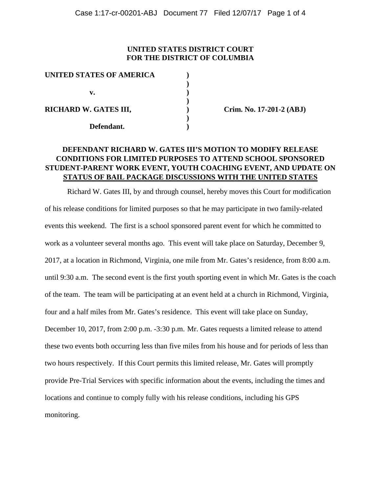### **UNITED STATES DISTRICT COURT FOR THE DISTRICT OF COLUMBIA**

| UNITED STATES OF AMERICA |  |
|--------------------------|--|
|                          |  |
| v.                       |  |
|                          |  |
| RICHARD W. GATES III,    |  |
|                          |  |
| Defendant.               |  |

**Crim. No. 17-201-2 (ABJ)** 

# **DEFENDANT RICHARD W. GATES III'S MOTION TO MODIFY RELEASE CONDITIONS FOR LIMITED PURPOSES TO ATTEND SCHOOL SPONSORED STUDENT-PARENT WORK EVENT, YOUTH COACHING EVENT, AND UPDATE ON STATUS OF BAIL PACKAGE DISCUSSIONS WITH THE UNITED STATES**

Richard W. Gates III, by and through counsel, hereby moves this Court for modification of his release conditions for limited purposes so that he may participate in two family-related events this weekend. The first is a school sponsored parent event for which he committed to work as a volunteer several months ago. This event will take place on Saturday, December 9, 2017, at a location in Richmond, Virginia, one mile from Mr. Gates's residence, from 8:00 a.m. until 9:30 a.m. The second event is the first youth sporting event in which Mr. Gates is the coach of the team. The team will be participating at an event held at a church in Richmond, Virginia, four and a half miles from Mr. Gates's residence. This event will take place on Sunday, December 10, 2017, from 2:00 p.m. -3:30 p.m. Mr. Gates requests a limited release to attend these two events both occurring less than five miles from his house and for periods of less than two hours respectively. If this Court permits this limited release, Mr. Gates will promptly provide Pre-Trial Services with specific information about the events, including the times and locations and continue to comply fully with his release conditions, including his GPS monitoring.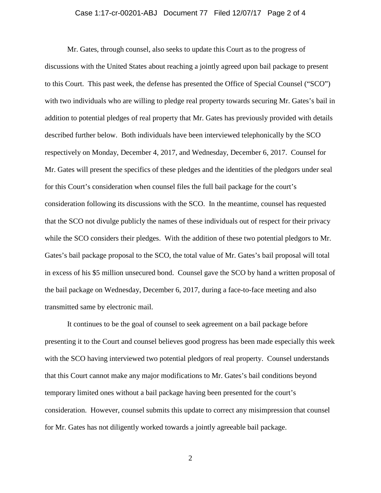#### Case 1:17-cr-00201-ABJ Document 77 Filed 12/07/17 Page 2 of 4

Mr. Gates, through counsel, also seeks to update this Court as to the progress of discussions with the United States about reaching a jointly agreed upon bail package to present to this Court. This past week, the defense has presented the Office of Special Counsel ("SCO") with two individuals who are willing to pledge real property towards securing Mr. Gates's bail in addition to potential pledges of real property that Mr. Gates has previously provided with details described further below. Both individuals have been interviewed telephonically by the SCO respectively on Monday, December 4, 2017, and Wednesday, December 6, 2017. Counsel for Mr. Gates will present the specifics of these pledges and the identities of the pledgors under seal for this Court's consideration when counsel files the full bail package for the court's consideration following its discussions with the SCO. In the meantime, counsel has requested that the SCO not divulge publicly the names of these individuals out of respect for their privacy while the SCO considers their pledges. With the addition of these two potential pledgors to Mr. Gates's bail package proposal to the SCO, the total value of Mr. Gates's bail proposal will total in excess of his \$5 million unsecured bond. Counsel gave the SCO by hand a written proposal of the bail package on Wednesday, December 6, 2017, during a face-to-face meeting and also transmitted same by electronic mail.

It continues to be the goal of counsel to seek agreement on a bail package before presenting it to the Court and counsel believes good progress has been made especially this week with the SCO having interviewed two potential pledgors of real property. Counsel understands that this Court cannot make any major modifications to Mr. Gates's bail conditions beyond temporary limited ones without a bail package having been presented for the court's consideration. However, counsel submits this update to correct any misimpression that counsel for Mr. Gates has not diligently worked towards a jointly agreeable bail package.

2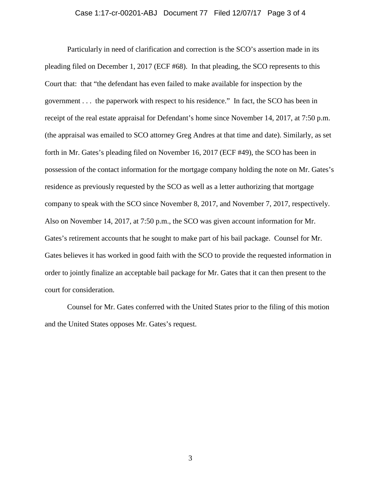#### Case 1:17-cr-00201-ABJ Document 77 Filed 12/07/17 Page 3 of 4

Particularly in need of clarification and correction is the SCO's assertion made in its pleading filed on December 1, 2017 (ECF #68). In that pleading, the SCO represents to this Court that: that "the defendant has even failed to make available for inspection by the government . . . the paperwork with respect to his residence." In fact, the SCO has been in receipt of the real estate appraisal for Defendant's home since November 14, 2017, at 7:50 p.m. (the appraisal was emailed to SCO attorney Greg Andres at that time and date). Similarly, as set forth in Mr. Gates's pleading filed on November 16, 2017 (ECF #49), the SCO has been in possession of the contact information for the mortgage company holding the note on Mr. Gates's residence as previously requested by the SCO as well as a letter authorizing that mortgage company to speak with the SCO since November 8, 2017, and November 7, 2017, respectively. Also on November 14, 2017, at 7:50 p.m., the SCO was given account information for Mr. Gates's retirement accounts that he sought to make part of his bail package. Counsel for Mr. Gates believes it has worked in good faith with the SCO to provide the requested information in order to jointly finalize an acceptable bail package for Mr. Gates that it can then present to the court for consideration.

Counsel for Mr. Gates conferred with the United States prior to the filing of this motion and the United States opposes Mr. Gates's request.

3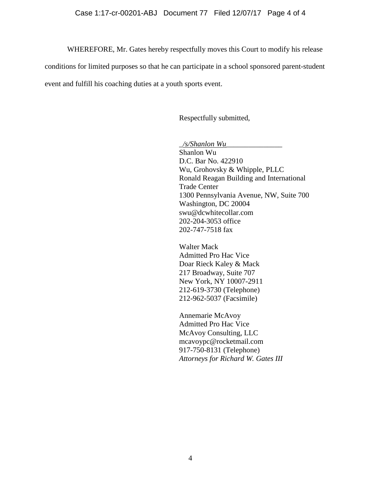#### Case 1:17-cr-00201-ABJ Document 77 Filed 12/07/17 Page 4 of 4

WHEREFORE, Mr. Gates hereby respectfully moves this Court to modify his release

conditions for limited purposes so that he can participate in a school sponsored parent-student

event and fulfill his coaching duties at a youth sports event.

Respectfully submitted,

*\_/s/Shanlon Wu*\_\_\_\_\_\_\_\_\_\_\_\_\_\_\_ Shanlon Wu D.C. Bar No. 422910 Wu, Grohovsky & Whipple, PLLC Ronald Reagan Building and International Trade Center 1300 Pennsylvania Avenue, NW, Suite 700 Washington, DC 20004 swu@dcwhitecollar.com 202-204-3053 office 202-747-7518 fax

Walter Mack Admitted Pro Hac Vice Doar Rieck Kaley & Mack 217 Broadway, Suite 707 New York, NY 10007-2911 212-619-3730 (Telephone) 212-962-5037 (Facsimile)

Annemarie McAvoy Admitted Pro Hac Vice McAvoy Consulting, LLC [mcavoypc@rocketmail.com](mailto:mcavoypc@rocketmail.com) 917-750-8131 (Telephone) *Attorneys for Richard W. Gates III*